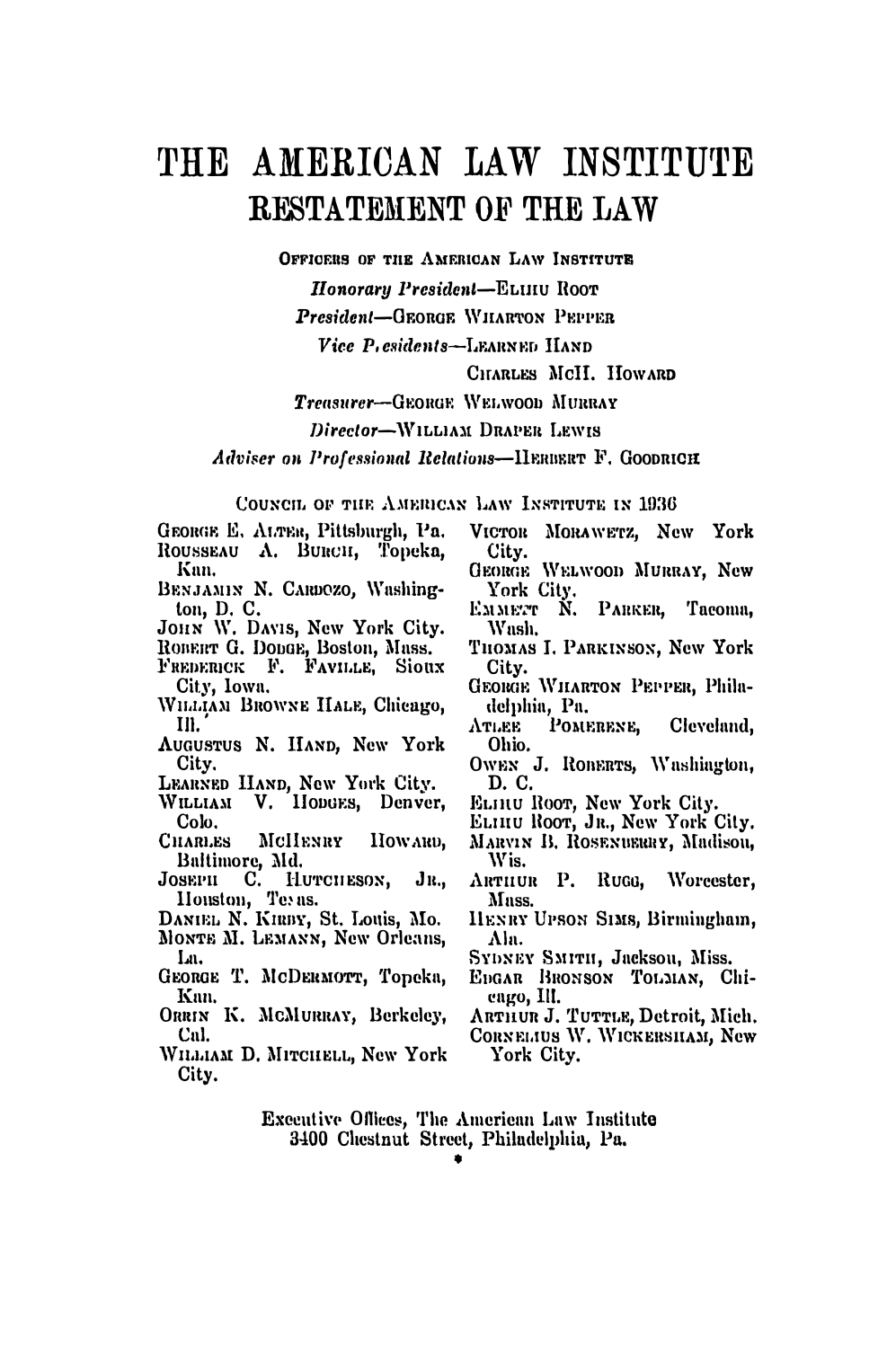## THE AMERICAN LAW INSTITUTE **RESTATEMENT OF THE LAW**

OFFICERS OF THE AMERICAN LAW INSTITUTE

Honorary President-ELUIU ROOT

President-GEORGE WILARTON PEPPER

Vice P. esidents-LEARNED HAND

CITARLES MCH. HOWARD

Treasurer-GEORGE WELWOOD MURRAY

Director-WILLIAM DRAPER LEWIS

Adviser on Professional Relations-IIERIERT F. GOODRICH

COUNCIL OF THE AMERICAN LAW INSTITUTE IN 1936

GEORGE E. ALTER, Pittsburgh, Pa. ROUSSEAU A. BURCH, Topeka, Knn.

BENJAMIN N. CARDOZO, Washington, D. C.

JOHN W. DAVIS, New York City.<br>ROBERT G. DODGE, Boston, Mass.

- 
- FREDERICK F. FAVILLE, SIOUX City. Iowa.
- WHAIAM BROWNE HALE, Chicago, III.
- AUGUSTUS N. HAND, New York City.
- LEARNED HAND, New York City.
- WILLIAM V. HODGES, Denver, Colo.
- HOWARD. **CHARLES** McHENRY Baltimore, Md.
- JOSEPH C. HUTCHESON, JR.,<br>
Houston, Tevas.<br>
DANIEL N. KHEPY, St. Louis, Mo.  $J_{R,n}$
- 
- MONTE M. LEMANN, New Orleans, La.
- GEORGE T. MCDERMOTT, Topeka, Kan.
- ORRIN K. MCMURRAY, Berkeley, Cal.
- WILLIAM D. MITCHELL, New York City.
- VICTOR MORAWETZ, New York City.
- GEORGE WELWOOD MURRAY, New York City.
- Емметт N. PARKER. Tacoma. Wash.
- THOMAS I. PARKINSON, New York City.
- GEORGE WILARTON PEPPER, Philadelphia, Pa.
- POMERENE, Cleveland. ATLEE Ohio.
- OWEN J. ROBERTS, Washington, D. C.
- ELHIU ROOT, New York City.
- ELHIU ROOT, JR., New York City.
- MARVIN B. ROSENBERRY, Madison, Wis.
- ARTHUR P. RUGG. Worcester. Muss.
- HENRY UPSON SIMS, Birmingham, Ala.
- SYDNEY SMITH, Jackson, Miss.
- EDGAR BRONSON TOLMAN, Chieago, Ill.<br>ARTHUR J. TUTTLE, Detroit, Mich.
- 
- CORNELIUS W. WICKERSHAM, New York City.

Executive Offices, The American Law Institute<br>3400 Chestnut Street, Philadelphia, Pa.